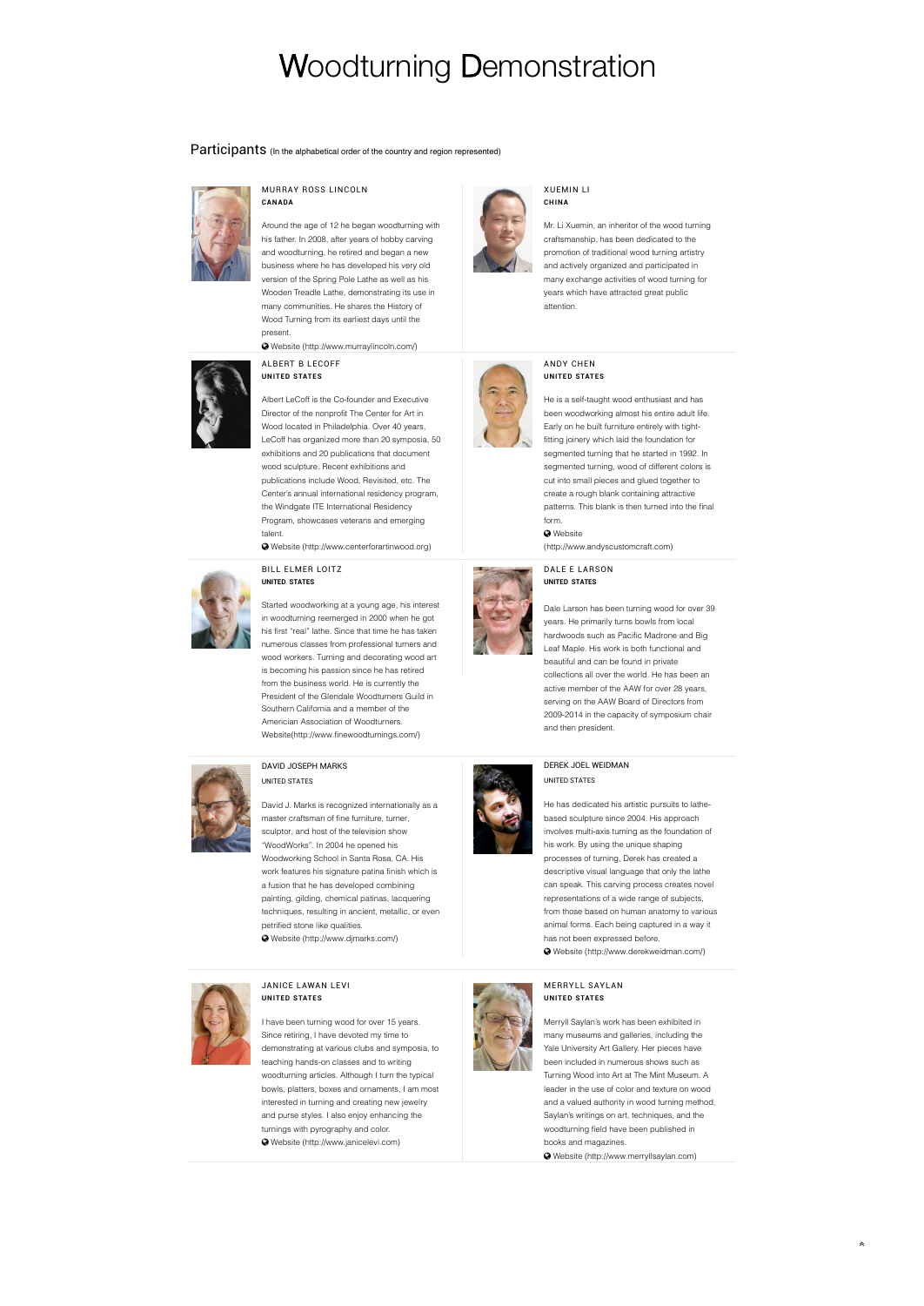# Woodturning Demonstration

# Participants (In the alphabetical order of the country and region represented)



#### MURRAY ROSS LINCOLN **CAN ADA**

Around the age of 12 he began woodturning with his father. In 2008, after years of hobby carving and woodturning, he retired and began a new business where he has developed his very old version of the Spring Pole Lathe as well as his Wooden Treadle Lathe, demonstrating its use in many communities. He shares the History of Wood Turning from its earliest days until the present.

 [Website \(http://www.murraylincoln.com/\)](http://www.murraylincoln.com) 

#### ALBERT B LECOFF **UNITED STATES**



Albert LeCoff is the Co-founder and Executive Director of the nonprofit The Center for Art in Wood located in Philadelphia. Over 40 years LeCoff has organized more than 20 symposia, 50 exhibitions and 20 publications that document wood sculpture. Recent exhibitions and publications include Wood, Revisited, etc. The Center's annual international residency program, the Windgate ITE International Residency Program, showcases veterans and emerging talent.

 [Website \(http://www.centerforartinwood.org\)](http://www.centerforartinwood.org) 

BILL ELMER LOITZ



### Started woodworking at a young age, his interest in woodturning reemerged in 2000 when he got his first "real" lathe. Since that time he has taken numerous classes from professional turners and wood workers. Turning and decorating wood art is becoming his passion since he has retired from the business world. He is currently the President of the Glendale Woodturners Guild in Southern California and a member of the Americian Association of Woodturners. Website(http://www.finewoodturnings.com/)



# DAVID JOSEPH MARKS UNITED STATES

David J. Marks is recognized internationally as a master craftsman of fine furniture, turner, sculptor, and host of the television show "WoodWorks". In 2004 he opened his Woodworking School in Santa Rosa, CA. His work features his signature patina finish which is a fusion that he has developed combining painting, gilding, chemical patinas, lacquering techniques, resulting in ancient, metallic, or even petrified stone like qualities.  [Website \(http://www.djmarks.com/\)](http://www.djmarks.com/) 



#### JANICE LAWAN LEVI **UNITED STATES**

I have been turning wood for over 15 years. Since retiring, I have devoted my time to demonstrating at various clubs and symposia, to teaching hands-on classes and to writing woodturning articles. Although I turn the typical bowls, platters, boxes and ornaments, I am most interested in turning and creating new jewelry and purse styles. I also enjoy enhancing the turnings with pyrography and color.  [Website \(http://www.janicelevi.com\)](http://www.janicelevi.com) 



#### XUEMIN LI **CHIN A**

Mr. Li Xuemin, an inheritor of the wood turning craftsmanship, has been dedicated to the promotion of traditional wood turning artistry and actively organized and participated in many exchange activities of wood turning for years which have attracted great public attention.



#### ANDY CHEN **UNITED STATES**

He is a self-taught wood enthusiast and has been woodworking almost his entire adult life. Early on he built furniture entirely with tightfitting joinery which laid the foundation for segmented turning that he started in 1992. In segmented turning, wood of different colors is cut into small pieces and glued together to create a rough blank containing attractive patterns. This blank is then turned into the final form.

[\(http://www.andyscustomcraft.com\)](http://www.andyscustomcraft.com) 

DALE E LARSON **UNITED STATES**

**Q** Website



Dale Larson has been turning wood for over 39 years. He primarily turns bowls from local hardwoods such as Pacific Madrone and Big Leaf Maple. His work is both functional and beautiful and can be found in private collections all over the world. He has been an active member of the AAW for over 28 years, serving on the AAW Board of Directors from 2009-2014 in the capacity of symposium chair and then president.

# DEREK JOEL WEIDMAN UNITED STATES

He has dedicated his artistic pursuits to lathebased sculpture since 2004. His approach involves multi-axis turning as the foundation of his work. By using the unique shaping processes of turning, Derek has created a descriptive visual language that only the lathe can speak. This carving process creates novel representations of a wide range of subjects, from those based on human anatomy to various animal forms. Each being captured in a way it has not been expressed before.  [Website \(http://www.derekweidman.com/\)](http://www.derekweidman.com/) 

## MERRYLL SAYLAN **UNITED STATES**

Merryll Saylan's work has been exhibited in many museums and galleries, including the Yale University Art Gallery. Her pieces have been included in numerous shows such as Turning Wood into Art at The Mint Museum. A leader in the use of color and texture on wood and a valued authority in wood turning method, Saylan's writings on art, techniques, and the woodturning field have been published in books and magazines.

 [Website \(http://www.merryllsaylan.com\)](http://www.merryllsaylan.com/) 

∧